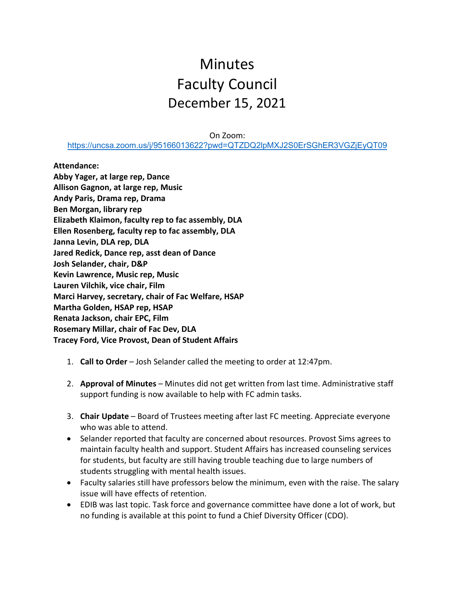## **Minutes** Faculty Council December 15, 2021

On Zoom:

<https://uncsa.zoom.us/j/95166013622?pwd=QTZDQ2lpMXJ2S0ErSGhER3VGZjEyQT09>

**Attendance:**

**Abby Yager, at large rep, Dance Allison Gagnon, at large rep, Music Andy Paris, Drama rep, Drama Ben Morgan, library rep Elizabeth Klaimon, faculty rep to fac assembly, DLA Ellen Rosenberg, faculty rep to fac assembly, DLA Janna Levin, DLA rep, DLA Jared Redick, Dance rep, asst dean of Dance Josh Selander, chair, D&P Kevin Lawrence, Music rep, Music Lauren Vilchik, vice chair, Film Marci Harvey, secretary, chair of Fac Welfare, HSAP Martha Golden, HSAP rep, HSAP Renata Jackson, chair EPC, Film Rosemary Millar, chair of Fac Dev, DLA Tracey Ford, Vice Provost, Dean of Student Affairs**

- 1. **Call to Order** Josh Selander called the meeting to order at 12:47pm.
- 2. **Approval of Minutes** Minutes did not get written from last time. Administrative staff support funding is now available to help with FC admin tasks.
- 3. **Chair Update** Board of Trustees meeting after last FC meeting. Appreciate everyone who was able to attend.
- Selander reported that faculty are concerned about resources. Provost Sims agrees to maintain faculty health and support. Student Affairs has increased counseling services for students, but faculty are still having trouble teaching due to large numbers of students struggling with mental health issues.
- Faculty salaries still have professors below the minimum, even with the raise. The salary issue will have effects of retention.
- EDIB was last topic. Task force and governance committee have done a lot of work, but no funding is available at this point to fund a Chief Diversity Officer (CDO).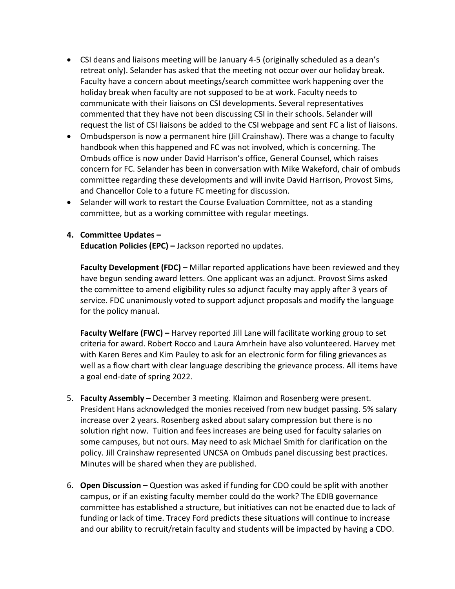- CSI deans and liaisons meeting will be January 4-5 (originally scheduled as a dean's retreat only). Selander has asked that the meeting not occur over our holiday break. Faculty have a concern about meetings/search committee work happening over the holiday break when faculty are not supposed to be at work. Faculty needs to communicate with their liaisons on CSI developments. Several representatives commented that they have not been discussing CSI in their schools. Selander will request the list of CSI liaisons be added to the CSI webpage and sent FC a list of liaisons.
- Ombudsperson is now a permanent hire (Jill Crainshaw). There was a change to faculty handbook when this happened and FC was not involved, which is concerning. The Ombuds office is now under David Harrison's office, General Counsel, which raises concern for FC. Selander has been in conversation with Mike Wakeford, chair of ombuds committee regarding these developments and will invite David Harrison, Provost Sims, and Chancellor Cole to a future FC meeting for discussion.
- Selander will work to restart the Course Evaluation Committee, not as a standing committee, but as a working committee with regular meetings.

## **4. Committee Updates –**

**Education Policies (EPC) –** Jackson reported no updates.

**Faculty Development (FDC) –** Millar reported applications have been reviewed and they have begun sending award letters. One applicant was an adjunct. Provost Sims asked the committee to amend eligibility rules so adjunct faculty may apply after 3 years of service. FDC unanimously voted to support adjunct proposals and modify the language for the policy manual.

**Faculty Welfare (FWC) –** Harvey reported Jill Lane will facilitate working group to set criteria for award. Robert Rocco and Laura Amrhein have also volunteered. Harvey met with Karen Beres and Kim Pauley to ask for an electronic form for filing grievances as well as a flow chart with clear language describing the grievance process. All items have a goal end-date of spring 2022.

- 5. **Faculty Assembly –** December 3 meeting. Klaimon and Rosenberg were present. President Hans acknowledged the monies received from new budget passing. 5% salary increase over 2 years. Rosenberg asked about salary compression but there is no solution right now. Tuition and fees increases are being used for faculty salaries on some campuses, but not ours. May need to ask Michael Smith for clarification on the policy. Jill Crainshaw represented UNCSA on Ombuds panel discussing best practices. Minutes will be shared when they are published.
- 6. **Open Discussion** Question was asked if funding for CDO could be split with another campus, or if an existing faculty member could do the work? The EDIB governance committee has established a structure, but initiatives can not be enacted due to lack of funding or lack of time. Tracey Ford predicts these situations will continue to increase and our ability to recruit/retain faculty and students will be impacted by having a CDO.